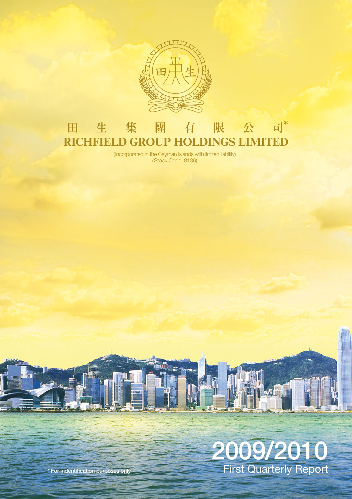

#### 生集 團 限 公 司\* 田 有 **RICHFIELD GROUP HOLDINGS LIMITED**

(incorporated in the Cayman Islands with limited liability) (Stock Code: 8136)



Ш

**\* For indentification purposes only**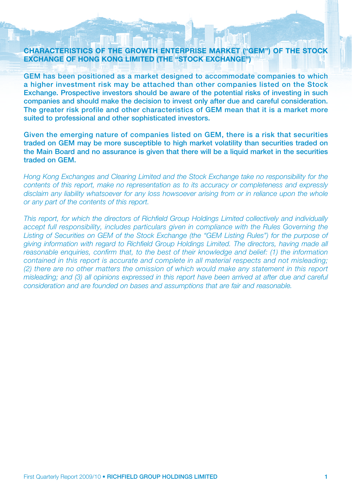#### **CHARACTERISTICS OF THE GROWTH ENTERPRISE MARKET ("GEM") OF THE STOCK EXCHANGE OF HONG KONG LIMITED (THE "STOCK EXCHANGE")**

**GEM has been positioned as a market designed to accommodate companies to which a higher investment risk may be attached than other companies listed on the Stock Exchange. Prospective investors should be aware of the potential risks of investing in such companies and should make the decision to invest only after due and careful consideration. The greater risk profile and other characteristics of GEM mean that it is a market more suited to professional and other sophisticated investors.**

**Given the emerging nature of companies listed on GEM, there is a risk that securities traded on GEM may be more susceptible to high market volatility than securities traded on the Main Board and no assurance is given that there will be a liquid market in the securities traded on GEM.**

Hong Kong Exchanges and Clearing Limited and the Stock Exchange take no responsibility for the contents of this report, make no representation as to its accuracy or completeness and expressly disclaim any liability whatsoever for any loss howsoever arising from or in reliance upon the whole or any part of the contents of this report.

This report, for which the directors of Richfield Group Holdings Limited collectively and individually accept full responsibility, includes particulars given in compliance with the Rules Governing the Listing of Securities on GEM of the Stock Exchange (the "GEM Listing Rules") for the purpose of giving information with regard to Richfield Group Holdings Limited. The directors, having made all reasonable enquiries, confirm that, to the best of their knowledge and belief: (1) the information contained in this report is accurate and complete in all material respects and not misleading; (2) there are no other matters the omission of which would make any statement in this report misleading; and (3) all opinions expressed in this report have been arrived at after due and careful consideration and are founded on bases and assumptions that are fair and reasonable.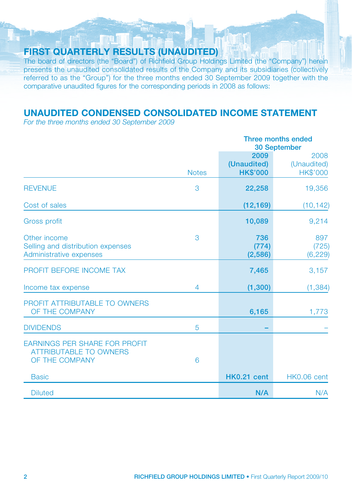### **FIRST QUARTERLY RESULTS (UNAUDITED)**

The board of directors (the "Board") of Richfield Group Holdings Limited (the "Company") herein presents the unaudited consolidated results of the Company and its subsidiaries (collectively referred to as the "Group") for the three months ended 30 September 2009 together with the comparative unaudited figures for the corresponding periods in 2008 as follows:

### **UNAUDITED CONDENSED CONSOLIDATED INCOME STATEMENT**

For the three months ended 30 September 2009

|                                                                                         |              | Three months ended<br>30 September     |                                        |
|-----------------------------------------------------------------------------------------|--------------|----------------------------------------|----------------------------------------|
|                                                                                         | <b>Notes</b> | 2009<br>(Unaudited)<br><b>HK\$'000</b> | 2008<br>(Unaudited)<br><b>HK\$'000</b> |
| <b>REVENUE</b>                                                                          | 3            | 22,258                                 | 19,356                                 |
| Cost of sales                                                                           |              | (12, 169)                              | (10, 142)                              |
| Gross profit                                                                            |              | 10,089                                 | 9,214                                  |
| Other income<br>Selling and distribution expenses<br>Administrative expenses            | 3            | 736<br>(774)<br>(2, 586)               | 897<br>(725)<br>(6, 229)               |
| PROFIT BEFORE INCOME TAX                                                                |              | 7,465                                  | 3,157                                  |
| Income tax expense                                                                      | 4            | (1, 300)                               | (1, 384)                               |
| PROFIT ATTRIBUTABLE TO OWNERS<br>OF THE COMPANY                                         |              | 6,165                                  | 1,773                                  |
| <b>DIVIDENDS</b>                                                                        | 5            |                                        |                                        |
| <b>EARNINGS PER SHARE FOR PROFIT</b><br><b>ATTRIBUTABLE TO OWNERS</b><br>OF THE COMPANY | 6            |                                        |                                        |
| <b>Basic</b>                                                                            |              | <b>HK0.21 cent</b>                     | HK0.06 cent                            |
| <b>Diluted</b>                                                                          |              | N/A                                    | N/A                                    |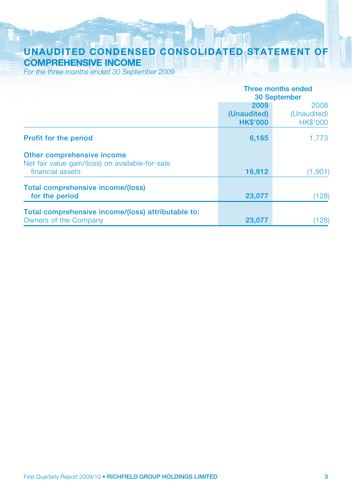## **UNAUDITED CONDENSED CONSOLIDATED STATEMENT OF COMPREHENSIVE INCOME**

For the three months ended 30 September 2009

|                                                                                                    | Three months ended<br>30 September     |                                        |  |
|----------------------------------------------------------------------------------------------------|----------------------------------------|----------------------------------------|--|
|                                                                                                    | 2009<br>(Unaudited)<br><b>HK\$'000</b> | 2008<br>(Unaudited)<br><b>HK\$'000</b> |  |
| <b>Profit for the period</b>                                                                       | 6,165                                  | 1,773                                  |  |
| Other comprehensive income<br>Net fair value gain/(loss) on available-for-sale<br>financial assets | 16,912                                 | (1,901)                                |  |
| Total comprehensive income/(loss)<br>for the period                                                | 23,077                                 | (128)                                  |  |
| Total comprehensive income/(loss) attributable to:<br>Owners of the Company                        | 23,077                                 | (128)                                  |  |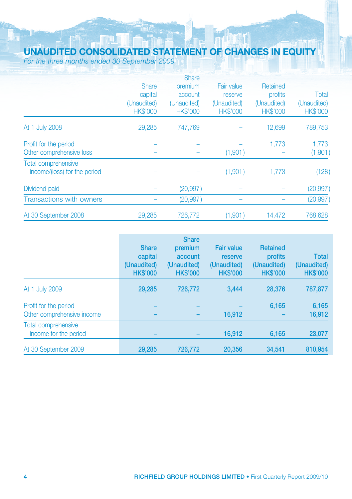# **UNAUDITED CONSOLIDATED STATEMENT OF CHANGES IN EQUITY**

For the three months ended 30 September 2009

|                                 |                 | <b>Share</b>    |                 |                 |                 |
|---------------------------------|-----------------|-----------------|-----------------|-----------------|-----------------|
|                                 | <b>Share</b>    | premium         | Fair value      | Retained        |                 |
|                                 | capital         | account         | reserve         | profits         | Total           |
|                                 | (Unaudited)     | (Unaudited)     | (Unaudited)     | (Unaudited)     | (Unaudited)     |
|                                 | <b>HK\$'000</b> | <b>HK\$'000</b> | <b>HK\$'000</b> | <b>HK\$'000</b> | <b>HK\$'000</b> |
| At 1 July 2008                  | 29,285          | 747.769         |                 | 12,699          | 789,753         |
| Profit for the period           |                 |                 |                 | 1.773           | 1.773           |
| Other comprehensive loss        |                 |                 | (1,901)         |                 | (1,901)         |
| <b>Total comprehensive</b>      |                 |                 |                 |                 |                 |
| income/(loss) for the period    |                 |                 | (1,901)         | 1.773           | (128)           |
| Dividend paid                   |                 | (20, 997)       |                 |                 | (20, 997)       |
| <b>Transactions with owners</b> |                 | (20, 997)       |                 |                 | (20, 997)       |
| At 30 September 2008            | 29,285          | 726,772         | (1,901)         | 14,472          | 768,628         |

|                                                     | <b>Share</b><br>capital<br>(Unaudited)<br><b>HK\$'000</b> | <b>Share</b><br>premium<br>account<br>(Unaudited)<br><b>HK\$'000</b> | <b>Fair value</b><br>reserve<br>(Unaudited)<br><b>HK\$'000</b> | <b>Retained</b><br>profits<br>(Unaudited)<br><b>HK\$'000</b> | <b>Total</b><br>(Unaudited)<br><b>HK\$'000</b> |
|-----------------------------------------------------|-----------------------------------------------------------|----------------------------------------------------------------------|----------------------------------------------------------------|--------------------------------------------------------------|------------------------------------------------|
| At 1 July 2009                                      | 29,285                                                    | 726,772                                                              | 3.444                                                          | 28,376                                                       | 787,877                                        |
| Profit for the period<br>Other comprehensive income |                                                           |                                                                      | 16,912                                                         | 6.165                                                        | 6,165<br>16,912                                |
| Total comprehensive<br>income for the period        |                                                           |                                                                      | 16.912                                                         | 6.165                                                        | 23,077                                         |
| At 30 September 2009                                | 29.285                                                    | 726,772                                                              | 20.356                                                         | 34.541                                                       | 810,954                                        |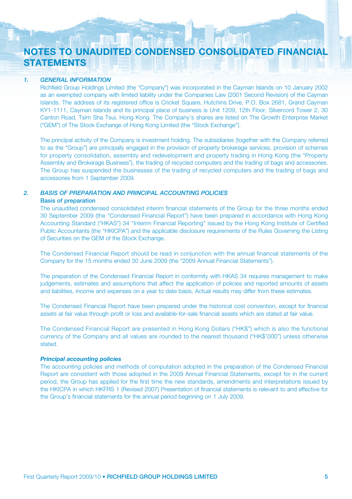## **NOTES TO UNAUDITED CONDENSED CONSOLIDATED FINANCIAL STATEMENTS**

#### *1. GENERAL INFORMATION*

Richfield Group Holdings Limited (the "Company") was incorporated in the Cayman Islands on 10 January 2002 as an exempted company with limited liability under the Companies Law (2001 Second Revision) of the Cayman Islands. The address of its registered office is Cricket Square, Hutchins Drive, P.O. Box 2681, Grand Cayman KY1-1111, Cayman Islands and its principal place of business is Unit 1209, 12th Floor, Silvercord Tower 2, 30 Canton Road, Tsim Sha Tsui, Hong Kong. The Company's shares are listed on The Growth Enterprise Market ("GEM") of The Stock Exchange of Hong Kong Limited (the "Stock Exchange").

The principal activity of the Company is investment holding. The subsidiaries (together with the Company referred to as the "Group") are principally engaged in the provision of property brokerage services, provision of schemes for property consolidation, assembly and redevelopment and property trading in Hong Kong (the "Property Assembly and Brokerage Business"), the trading of recycled computers and the trading of bags and accessories. The Group has suspended the businesses of the trading of recycled computers and the trading of bags and accessories from 1 September 2009.

#### *2. BASIS OF PREPARATION AND PRINCIPAL ACCOUNTING POLICIES*

#### **Basis of preparation**

The unaudited condensed consolidated interim financial statements of the Group for the three months ended 30 September 2009 (the "Condensed Financial Report") have been prepared in accordance with Hong Kong Accounting Standard ("HKAS") 34 "Interim Financial Reporting" issued by the Hong Kong Institute of Certified Public Accountants (the "HKICPA") and the applicable disclosure requirements of the Rules Governing the Listing of Securities on the GEM of the Stock Exchange.

The Condensed Financial Report should be read in conjunction with the annual financial statements of the Company for the 15 months ended 30 June 2009 (the "2009 Annual Financial Statements").

The preparation of the Condensed Financial Report in conformity with HKAS 34 requires management to make judgements, estimates and assumptions that affect the application of policies and reported amounts of assets and liabilities, income and expenses on a year to date basis. Actual results may differ from these estimates.

The Condensed Financial Report have been prepared under the historical cost convention, except for financial assets at fair value through profit or loss and available-for-sale financial assets which are stated at fair value.

The Condensed Financial Report are presented in Hong Kong Dollars ("HK\$") which is also the functional currency of the Company and all values are rounded to the nearest thousand ("HK\$'000") unless otherwise stated.

#### *Principal accounting policies*

The accounting policies and methods of computation adopted in the preparation of the Condensed Financial Report are consistent with those adopted in the 2009 Annual Financial Statements, except for in the current period, the Group has applied for the first time the new standards, amendments and interpretations issued by the HKICPA in which HKFRS 1 (Revised 2007) Presentation of financial statements is relevant to and effective for the Group's financial statements for the annual period beginning on 1 July 2009.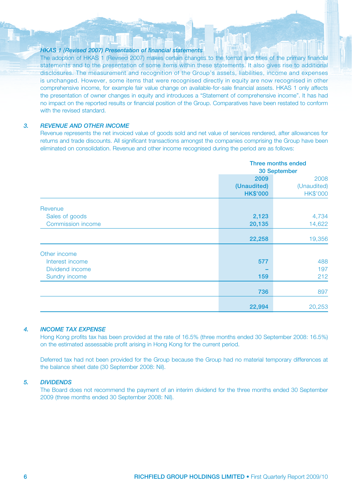#### *HKAS 1 (Revised 2007) Presentation of financial statements*

The adoption of HKAS 1 (Revised 2007) makes certain changes to the format and titles of the primary financial statements and to the presentation of some items within these statements. It also gives rise to additional disclosures. The measurement and recognition of the Group's assets, liabilities, income and expenses is unchanged. However, some items that were recognised directly in equity are now recognised in other comprehensive income, for example fair value change on available-for-sale financial assets. HKAS 1 only affects the presentation of owner changes in equity and introduces a "Statement of comprehensive income". It has had no impact on the reported results or financial position of the Group. Comparatives have been restated to conform with the revised standard.

#### *3. REVENUE AND OTHER INCOME*

Revenue represents the net invoiced value of goods sold and net value of services rendered, after allowances for returns and trade discounts. All significant transactions amongst the companies comprising the Group have been eliminated on consolidation. Revenue and other income recognised during the period are as follows:

|                                                                     | Three months ended<br>30 September     |                                        |
|---------------------------------------------------------------------|----------------------------------------|----------------------------------------|
|                                                                     | 2009<br>(Unaudited)<br><b>HK\$'000</b> | 2008<br>(Unaudited)<br><b>HK\$'000</b> |
| Revenue<br>Sales of goods<br>Commission income                      | 2,123<br>20,135                        | 4,734<br>14,622                        |
|                                                                     | 22,258                                 | 19,356                                 |
| Other income<br>Interest income<br>Dividend income<br>Sundry income | 577<br>159                             | 488<br>197<br>212                      |
|                                                                     | 736                                    | 897                                    |
|                                                                     | 22,994                                 | 20,253                                 |

#### *4. INCOME TAX EXPENSE*

Hong Kong profits tax has been provided at the rate of 16.5% (three months ended 30 September 2008: 16.5%) on the estimated assessable profit arising in Hong Kong for the current period.

Deferred tax had not been provided for the Group because the Group had no material temporary differences at the balance sheet date (30 September 2008: Nil).

#### *5. DIVIDENDS*

The Board does not recommend the payment of an interim dividend for the three months ended 30 September 2009 (three months ended 30 September 2008: Nil).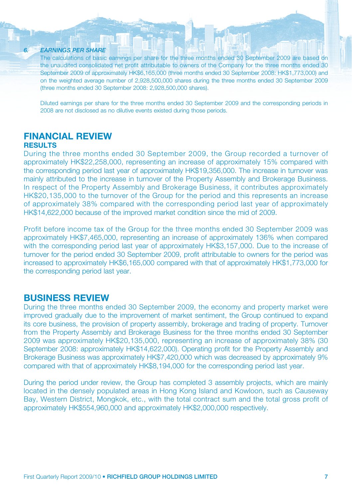#### *6. EARNINGS PER SHARE*

The calculations of basic earnings per share for the three months ended 30 September 2009 are based on the unaudited consolidated net profit attributable to owners of the Company for the three months ended 30 September 2009 of approximately HK\$6,165,000 (three months ended 30 September 2008: HK\$1,773,000) and on the weighted average number of 2,928,500,000 shares during the three months ended 30 September 2009 (three months ended 30 September 2008: 2,928,500,000 shares).

Diluted earnings per share for the three months ended 30 September 2009 and the corresponding periods in 2008 are not disclosed as no dilutive events existed during those periods.

#### **FINANCIAL REVIEW RESULTS**

During the three months ended 30 September 2009, the Group recorded a turnover of approximately HK\$22,258,000, representing an increase of approximately 15% compared with the corresponding period last year of approximately HK\$19,356,000. The increase in turnover was mainly attributed to the increase in turnover of the Property Assembly and Brokerage Business. In respect of the Property Assembly and Brokerage Business, it contributes approximately HK\$20,135,000 to the turnover of the Group for the period and this represents an increase of approximately 38% compared with the corresponding period last year of approximately HK\$14,622,000 because of the improved market condition since the mid of 2009.

Profit before income tax of the Group for the three months ended 30 September 2009 was approximately HK\$7,465,000, representing an increase of approximately 136% when compared with the corresponding period last year of approximately HK\$3,157,000. Due to the increase of turnover for the period ended 30 September 2009, profit attributable to owners for the period was increased to approximately HK\$6,165,000 compared with that of approximately HK\$1,773,000 for the corresponding period last year.

#### **BUSINESS REVIEW**

During the three months ended 30 September 2009, the economy and property market were improved gradually due to the improvement of market sentiment, the Group continued to expand its core business, the provision of property assembly, brokerage and trading of property. Turnover from the Property Assembly and Brokerage Business for the three months ended 30 September 2009 was approximately HK\$20,135,000, representing an increase of approximately 38% (30 September 2008: approximately HK\$14,622,000). Operating profit for the Property Assembly and Brokerage Business was approximately HK\$7,420,000 which was decreased by approximately 9% compared with that of approximately HK\$8,194,000 for the corresponding period last year.

During the period under review, the Group has completed 3 assembly projects, which are mainly located in the densely populated areas in Hong Kong Island and Kowloon, such as Causeway Bay, Western District, Mongkok, etc., with the total contract sum and the total gross profit of approximately HK\$554,960,000 and approximately HK\$2,000,000 respectively.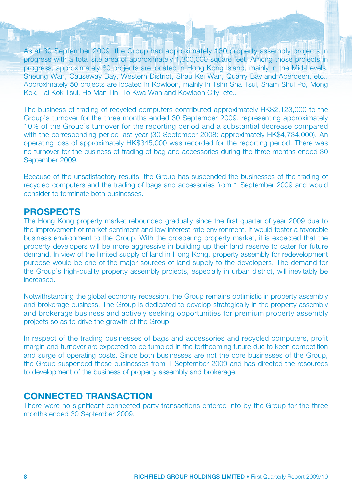As at 30 September 2009, the Group had approximately 130 property assembly projects in progress with a total site area of approximately 1,300,000 square feet. Among those projects in progress, approximately 80 projects are located in Hong Kong Island, mainly in the Mid-Levels, Sheung Wan, Causeway Bay, Western District, Shau Kei Wan, Quarry Bay and Aberdeen, etc.. Approximately 50 projects are located in Kowloon, mainly in Tsim Sha Tsui, Sham Shui Po, Mong Kok, Tai Kok Tsui, Ho Man Tin, To Kwa Wan and Kowloon City, etc..

The business of trading of recycled computers contributed approximately HK\$2,123,000 to the Group's turnover for the three months ended 30 September 2009, representing approximately 10% of the Group's turnover for the reporting period and a substantial decrease compared with the corresponding period last year (30 September 2008: approximately HK\$4,734,000). An operating loss of approximately HK\$345,000 was recorded for the reporting period. There was no turnover for the business of trading of bag and accessories during the three months ended 30 September 2009.

Because of the unsatisfactory results, the Group has suspended the businesses of the trading of recycled computers and the trading of bags and accessories from 1 September 2009 and would consider to terminate both businesses.

### **PROSPECTS**

The Hong Kong property market rebounded gradually since the first quarter of year 2009 due to the improvement of market sentiment and low interest rate environment. It would foster a favorable business environment to the Group. With the prospering property market, it is expected that the property developers will be more aggressive in building up their land reserve to cater for future demand. In view of the limited supply of land in Hong Kong, property assembly for redevelopment purpose would be one of the major sources of land supply to the developers. The demand for the Group's high-quality property assembly projects, especially in urban district, will inevitably be increased.

Notwithstanding the global economy recession, the Group remains optimistic in property assembly and brokerage business. The Group is dedicated to develop strategically in the property assembly and brokerage business and actively seeking opportunities for premium property assembly projects so as to drive the growth of the Group.

In respect of the trading businesses of bags and accessories and recycled computers, profit margin and turnover are expected to be tumbled in the forthcoming future due to keen competition and surge of operating costs. Since both businesses are not the core businesses of the Group, the Group suspended these businesses from 1 September 2009 and has directed the resources to development of the business of property assembly and brokerage.

### **CONNECTED TRANSACTION**

There were no significant connected party transactions entered into by the Group for the three months ended 30 September 2009.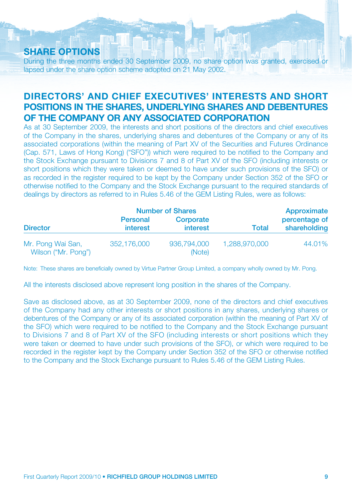### **SHARE OPTIONS**

During the three months ended 30 September 2009, no share option was granted, exercised or lapsed under the share option scheme adopted on 21 May 2002.

### **DIRECTORS' AND CHIEF EXECUTIVES' INTERESTS AND SHORT POSITIONS IN THE SHARES, UNDERLYING SHARES AND DEBENTURES OF THE COMPANY OR ANY ASSOCIATED CORPORATION**

As at 30 September 2009, the interests and short positions of the directors and chief executives of the Company in the shares, underlying shares and debentures of the Company or any of its associated corporations (within the meaning of Part XV of the Securities and Futures Ordinance (Cap. 571, Laws of Hong Kong) ("SFO")) which were required to be notified to the Company and the Stock Exchange pursuant to Divisions 7 and 8 of Part XV of the SFO (including interests or short positions which they were taken or deemed to have under such provisions of the SFO) or as recorded in the register required to be kept by the Company under Section 352 of the SFO or otherwise notified to the Company and the Stock Exchange pursuant to the required standards of dealings by directors as referred to in Rules 5.46 of the GEM Listing Rules, were as follows:

|                                          |                                    | <b>Number of Shares</b> |               | Approximate                   |
|------------------------------------------|------------------------------------|-------------------------|---------------|-------------------------------|
| <b>Director</b>                          | <b>Personal</b><br><b>interest</b> | Corporate<br>interest   | <b>Total</b>  | percentage of<br>shareholding |
| Mr. Pong Wai San,<br>Wilson ("Mr. Pong") | 352.176,000                        | 936,794,000<br>(Note)   | 1,288,970,000 | 44.01%                        |

Note: These shares are beneficially owned by Virtue Partner Group Limited, a company wholly owned by Mr. Pong.

All the interests disclosed above represent long position in the shares of the Company.

Save as disclosed above, as at 30 September 2009, none of the directors and chief executives of the Company had any other interests or short positions in any shares, underlying shares or debentures of the Company or any of its associated corporation (within the meaning of Part XV of the SFO) which were required to be notified to the Company and the Stock Exchange pursuant to Divisions 7 and 8 of Part XV of the SFO (including interests or short positions which they were taken or deemed to have under such provisions of the SFO), or which were required to be recorded in the register kept by the Company under Section 352 of the SFO or otherwise notified to the Company and the Stock Exchange pursuant to Rules 5.46 of the GEM Listing Rules.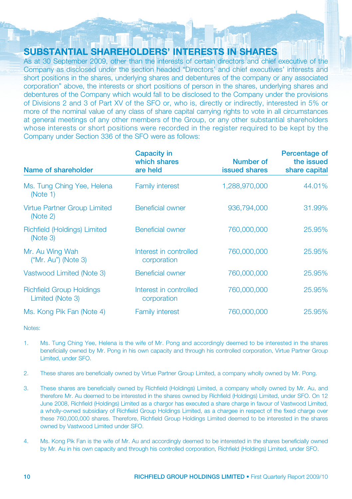### **SUBSTANTIAL SHAREHOLDERS' INTERESTS IN SHARES**

As at 30 September 2009, other than the interests of certain directors and chief executive of the Company as disclosed under the section headed "Directors' and chief executives' interests and short positions in the shares, underlying shares and debentures of the company or any associated corporation" above, the interests or short positions of person in the shares, underlying shares and debentures of the Company which would fall to be disclosed to the Company under the provisions of Divisions 2 and 3 of Part XV of the SFO or, who is, directly or indirectly, interested in 5% or more of the nominal value of any class of share capital carrying rights to vote in all circumstances at general meetings of any other members of the Group, or any other substantial shareholders whose interests or short positions were recorded in the register required to be kept by the Company under Section 336 of the SFO were as follows:

| Name of shareholder                                 | <b>Capacity in</b><br>which shares<br>are held | Number of<br>issued shares | Percentage of<br>the issued<br>share capital |  |
|-----------------------------------------------------|------------------------------------------------|----------------------------|----------------------------------------------|--|
| Ms. Tung Ching Yee, Helena<br>(Note 1)              | <b>Family interest</b>                         | 1.288.970.000              | 44.01%                                       |  |
| <b>Virtue Partner Group Limited</b><br>(Note 2)     | <b>Beneficial owner</b>                        | 936,794,000                | 31.99%                                       |  |
| Richfield (Holdings) Limited<br>(Note 3)            | <b>Beneficial owner</b>                        | 760,000,000                | 25,95%                                       |  |
| Mr. Au Wing Wah<br>$('Mr. Au")$ (Note 3)            | Interest in controlled<br>corporation          | 760,000,000                | 25,95%                                       |  |
| Vastwood Limited (Note 3)                           | <b>Beneficial owner</b>                        | 760,000,000                | 25.95%                                       |  |
| <b>Richfield Group Holdings</b><br>Limited (Note 3) | Interest in controlled<br>corporation          | 760,000,000                | 25,95%                                       |  |
| Ms. Kong Pik Fan (Note 4)                           | <b>Family interest</b>                         | 760,000,000                | 25,95%                                       |  |

Notes:

- 1. Ms. Tung Ching Yee, Helena is the wife of Mr. Pong and accordingly deemed to be interested in the shares beneficially owned by Mr. Pong in his own capacity and through his controlled corporation, Virtue Partner Group Limited, under SFO.
- 2. These shares are beneficially owned by Virtue Partner Group Limited, a company wholly owned by Mr. Pong.
- 3. These shares are beneficially owned by Richfield (Holdings) Limited, a company wholly owned by Mr. Au, and therefore Mr. Au deemed to be interested in the shares owned by Richfield (Holdings) Limited, under SFO. On 12 June 2008, Richfield (Holdings) Limited as a chargor has executed a share charge in favour of Vastwood Limited, a wholly-owned subsidiary of Richfield Group Holdings Limited, as a chargee in respect of the fixed charge over these 760,000,000 shares. Therefore, Richfield Group Holdings Limited deemed to be interested in the shares owned by Vastwood Limited under SFO.
- 4. Ms. Kong Pik Fan is the wife of Mr. Au and accordingly deemed to be interested in the shares beneficially owned by Mr. Au in his own capacity and through his controlled corporation, Richfield (Holdings) Limited, under SFO.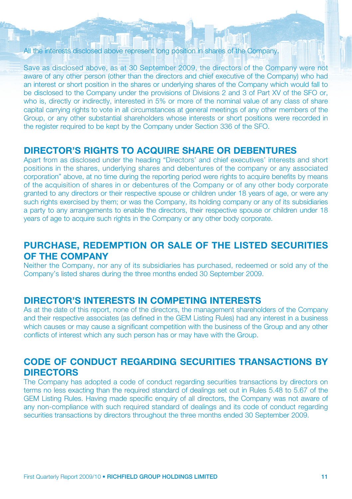#### All the interests disclosed above represent long position in shares of the Company.

Save as disclosed above, as at 30 September 2009, the directors of the Company were not aware of any other person (other than the directors and chief executive of the Company) who had an interest or short position in the shares or underlying shares of the Company which would fall to be disclosed to the Company under the provisions of Divisions 2 and 3 of Part XV of the SFO or, who is, directly or indirectly, interested in 5% or more of the nominal value of any class of share capital carrying rights to vote in all circumstances at general meetings of any other members of the Group, or any other substantial shareholders whose interests or short positions were recorded in the register required to be kept by the Company under Section 336 of the SFO.

### **DIRECTOR'S RIGHTS TO ACQUIRE SHARE OR DEBENTURES**

Apart from as disclosed under the heading "Directors' and chief executives' interests and short positions in the shares, underlying shares and debentures of the company or any associated corporation" above, at no time during the reporting period were rights to acquire benefits by means of the acquisition of shares in or debentures of the Company or of any other body corporate granted to any directors or their respective spouse or children under 18 years of age, or were any such rights exercised by them; or was the Company, its holding company or any of its subsidiaries a party to any arrangements to enable the directors, their respective spouse or children under 18 years of age to acquire such rights in the Company or any other body corporate.

### **PURCHASE, REDEMPTION OR SALE OF THE LISTED SECURITIES OF THE COMPANY**

Neither the Company, nor any of its subsidiaries has purchased, redeemed or sold any of the Company's listed shares during the three months ended 30 September 2009.

#### **DIRECTOR'S INTERESTS IN COMPETING INTERESTS**

As at the date of this report, none of the directors, the management shareholders of the Company and their respective associates (as defined in the GEM Listing Rules) had any interest in a business which causes or may cause a significant competition with the business of the Group and any other conflicts of interest which any such person has or may have with the Group.

### **CODE OF CONDUCT REGARDING SECURITIES TRANSACTIONS BY DIRECTORS**

The Company has adopted a code of conduct regarding securities transactions by directors on terms no less exacting than the required standard of dealings set out in Rules 5.48 to 5.67 of the GEM Listing Rules. Having made specific enquiry of all directors, the Company was not aware of any non-compliance with such required standard of dealings and its code of conduct regarding securities transactions by directors throughout the three months ended 30 September 2009.